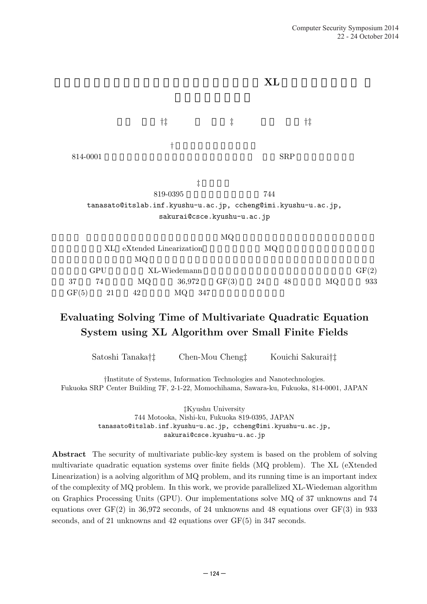

# **Evaluating Solving Time of Multivariate Quadratic Equation System using XL Algorithm over Small Finite Fields**

Satoshi Tanaka*†‡* Chen-Mou Cheng *‡* Kouichi Sakurai*†‡*

*†*Institute of Systems, Information Technologies and Nanotechnologies. Fukuoka SRP Center Building 7F, 2-1-22, Momochihama, Sawara-ku, Fukuoka, 814-0001, JAPAN

> *‡*Kyushu University 744 Motooka, Nishi-ku, Fukuoka 819-0395, JAPAN tanasato@itslab.inf.kyushu-u.ac.jp, ccheng@imi.kyushu-u.ac.jp, sakurai@csce.kyushu-u.ac.jp

**Abstract** The security of multivariate public-key system is based on the problem of solving multivariate quadratic equation systems over finite fields (MQ problem). The XL (eXtended Linearization) is a aolving algorithm of MQ problem, and its running time is an important index of the complexity of MQ problem. In this work, we provide parallelized XL-Wiedeman algorithm on Graphics Processing Units (GPU). Our implementations solve MQ of 37 unknowns and 74 equations over  $GF(2)$  in 36,972 seconds, of 24 unknowns and 48 equations over  $GF(3)$  in 933 seconds, and of 21 unknowns and 42 equations over  $GF(5)$  in 347 seconds.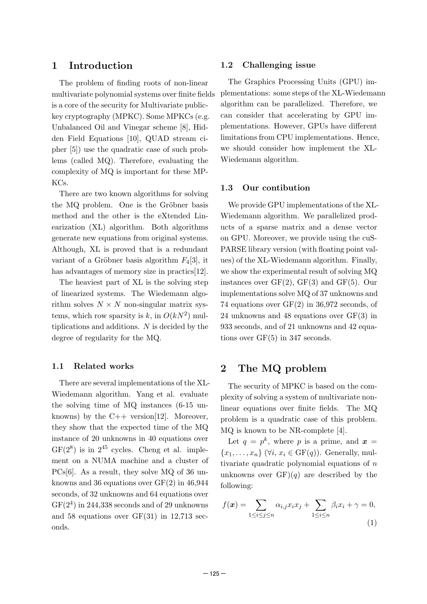### **1 Introduction**

The problem of finding roots of non-linear multivariate polynomial systems over finite fields is a core of the security for Multivariate publickey cryptography (MPKC). Some MPKCs (e.g. Unbalanced Oil and Vinegar scheme [8], Hidden Field Equations [10], QUAD stream cipher [5]) use the quadratic case of such problems (called MQ). Therefore, evaluating the complexity of MQ is important for these MP-KCs.

There are two known algorithms for solving the MQ problem. One is the Gröbner basis method and the other is the eXtended Linearization (XL) algorithm. Both algorithms generate new equations from original systems. Although, XL is proved that is a redundant variant of a Gröbner basis algorithm  $F_4[3]$ , it has advantages of memory size in practics[12].

The heaviest part of XL is the solving step of linearized systems. The Wiedemann algorithm solves  $N \times N$  non-singular matrix systems, which row sparsity is  $k$ , in  $O(kN^2)$  multiplications and additions. *N* is decided by the degree of regularity for the MQ.

#### **1.1 Related works**

There are several implementations of the XL-Wiedemann algorithm. Yang et al. evaluate the solving time of MQ instances (6-15 unknowns) by the  $C++$  version[12]. Moreover, they show that the expected time of the MQ instance of 20 unknowns in 40 equations over  $GF(2^8)$  is in  $2^{45}$  cycles. Cheng et al. implement on a NUMA machine and a cluster of PCs[6]. As a result, they solve MQ of 36 unknowns and 36 equations over GF(2) in 46,944 seconds, of 32 unknowns and 64 equations over  $GF(2<sup>4</sup>)$  in 244,338 seconds and of 29 unknowns and 58 equations over GF(31) in 12,713 seconds.

#### **1.2 Challenging issue**

The Graphics Processing Units (GPU) implementations: some steps of the XL-Wiedemann algorithm can be parallelized. Therefore, we can consider that accelerating by GPU implementations. However, GPUs have different limitations from CPU implementations. Hence, we should consider how implement the XL-Wiedemann algorithm.

#### **1.3 Our contibution**

We provide GPU implementations of the XL-Wiedemann algorithm. We parallelized products of a sparse matrix and a dense vector on GPU. Moreover, we provide using the cuS-PARSE library version (with floating point values) of the XL-Wiedemann algorithm. Finally, we show the experimental result of solving MQ instances over  $GF(2)$ ,  $GF(3)$  and  $GF(5)$ . Our implementations solve MQ of 37 unknowns and 74 equations over GF(2) in 36,972 seconds, of 24 unknowns and 48 equations over GF(3) in 933 seconds, and of 21 unknowns and 42 equations over GF(5) in 347 seconds.

### **2 The MQ problem**

The security of MPKC is based on the complexity of solving a system of multivariate nonlinear equations over finite fields. The MQ problem is a quadratic case of this problem. MQ is known to be NR-complete [4].

Let  $q = p^k$ , where p is a prime, and  $x =$  ${x_1, \ldots, x_n}$  ( $\forall i, x_i \in \text{GF}(q)$ ). Generally, multivariate quadratic polynomial equations of *n* unknowns over  $GF(q)$  are described by the following:

$$
f(\boldsymbol{x}) = \sum_{1 \le i \le j \le n} \alpha_{i,j} x_i x_j + \sum_{1 \le i \le n} \beta_i x_i + \gamma = 0,
$$
\n(1)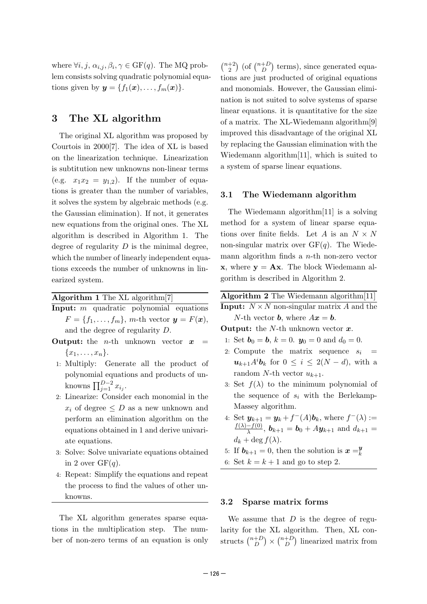where  $\forall i, j, \alpha_{i,j}, \beta_i, \gamma \in \text{GF}(q)$ . The MQ problem consists solving quadratic polynomial equations given by  $y = \{f_1(x), \ldots, f_m(x)\}.$ 

### **3 The XL algorithm**

The original XL algorithm was proposed by Courtois in 2000[7]. The idea of XL is based on the linearization technique. Linearization is subtitution new unknowns non-linear terms (e.g.  $x_1x_2 = y_{1,2}$ ). If the number of equations is greater than the number of variables, it solves the system by algebraic methods (e.g. the Gaussian elimination). If not, it generates new equations from the original ones. The XL algorithm is described in Algorithm 1. The degree of regularity *D* is the minimal degree, which the number of linearly independent equations exceeds the number of unknowns in linearized system.

| Algorithm 1 The $XL$ algorithm $[7]$ |  |  |  |  |  |  |
|--------------------------------------|--|--|--|--|--|--|
|--------------------------------------|--|--|--|--|--|--|

- **Input:** *m* quadratic polynomial equations  $F = \{f_1, \ldots, f_m\}$ , *m*-th vector  $y = F(x)$ , and the degree of regularity *D* .
- **Output:** the *n*-th unknown vector *x* =  ${x_1, \ldots, x_n}.$
- 1: Multiply: Generate all the product of polynomial equations and products of unknowns  $\prod_{i=1}^{D-2} x_{i_i}$ .
- 2: Linearize: Consider each monomial in the  $x_i$  of degree  $\leq D$  as a new unknown and perform an elimination algorithm on the equations obtained in 1 and derive univariate equations.
- 3: Solve: Solve univariate equations obtained in 2 over  $GF(q)$ .
- 4: Repeat: Simplify the equations and repeat the process to find the values of other unknowns.

The XL algorithm generates sparse equations in the multiplication step. The number of non-zero terms of an equation is only

 $\binom{n+2}{2}$  $\binom{n+D}{D}$  terms), since generated equations are just producted of original equations and monomials. However, the Gaussian elimination is not suited to solve systems of sparse linear equations. it is quantitative for the size of a matrix. The XL-Wiedemann algorithm[9] improved this disadvantage of the original XL by replacing the Gaussian elimination with the Wiedemann algorithm[11], which is suited to a system of sparse linear equations.

### **3.1 The Wiedemann algorithm**

The Wiedemann algorithm[11] is a solving method for a system of linear sparse equations over finite fields. Let *A* is an  $N \times N$ non-singular matrix over GF( *q*). The Wiedemann algorithm finds a *n*-th non-zero vector **x**, where  $y = Ax$ . The block Wiedemann algorithm is described in Algorithm 2.

| Algorithm 2 The Wiedemann algorithm[11] |
|-----------------------------------------|
|-----------------------------------------|

**Input:**  $N \times N$  non-singular matrix A and the *N*-th vector *b*, where  $Ax = b$ .

**Output:** the *N*-th unknown vector *x* .

- 1: Set  $b_0 = b$ ,  $k = 0$ .  $y_0 = 0$  and  $d_0 = 0$ .
- 2: Compute the matrix sequence *s i* =  $u_{k+1}A^i b_k$  for  $0 \leq i \leq 2(N-d)$ , with a random *N*-th vector  $u_{k+1}$ .
- 3: Set  $f(\lambda)$  to the minimum polynomial of the sequence of  $s_i$  with the Berlekamp-Massey algorithm.
- 4: Set  $y_{k+1} = y_k + f^{-}(A)b_k$ , where  $f^{-}(\lambda) :=$  $f(\lambda) - f(0)$  $\frac{(-f(0))}{\lambda}$ ,  $\boldsymbol{b}_{k+1} = \boldsymbol{b}_0 + A \boldsymbol{y}_{k+1}$  and  $d_{k+1} =$  $d_k + \deg f(\lambda)$ .
- 5: If  $\mathbf{b}_{k+1} = 0$ , then the solution is  $\mathbf{x} = \mathbf{y}_k$ *k*
- 6: Set  $k = k + 1$  and go to step 2.

#### **3.2 Sparse matrix forms**

We assume that *D* is the degree of regularity for the XL algorithm. Then, XL constructs  $\binom{n+D}{D} \times \binom{n+D}{D}$  linearized matrix from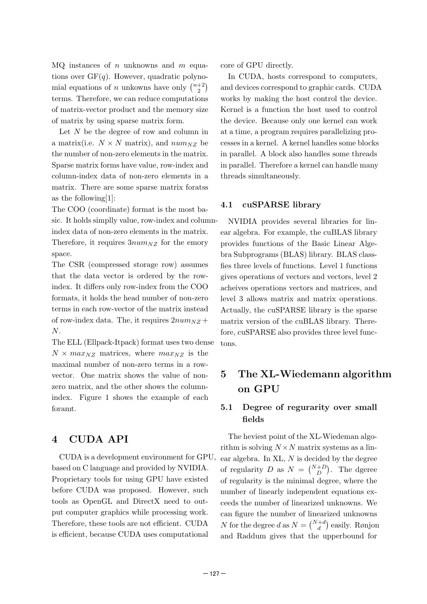MQ instances of *n* unknowns and *m* equations over GF(*q*). However, quadratic polynomial equations of *n* unkowns have only  $\binom{n+2}{2}$ terms. Therefore, we can reduce computations of matrix-vector product and the memory size of matrix by using sparse matrix form.

Let N be the degree of row and column in a matrix(i.e.  $N \times N$  matrix), and  $num_{NZ}$  be the number of non-zero elements in the matrix. Sparse matrix forms have value, row-index and column-index data of non-zero elements in a matrix. There are some sparse matrix foratss as the following[1]:

The COO (coordinate) format is the most basic. It holds simplly value, row-index and column-

index data of non-zero elements in the matrix. Therefore, it requires  $3num_{NZ}$  for the emory space.

The CSR (compressed storage row) assumes that the data vector is ordered by the rowindex. It differs only row-index from the COO formats, it holds the head number of non-zero terms in each row-vector of the matrix instead of row-index data. The, it requires 2*numNZ* + *N* .

The ELL (Ellpack-Itpack) format uses two dense  $N \times max_{NZ}$  matrices, where  $max_{NZ}$  is the maximal number of non-zero terms in a rowvector. One matrix shows the value of nonzero matrix, and the other shows the columnindex. Figure 1 shows the example of each foramt.

### **4 CUDA API**

CUDA is a development environment for GPU, based on C language and provided by NVIDIA. Proprietary tools for using GPU have existed before CUDA was proposed. However, such tools as OpenGL and DirectX need to output computer graphics while processing work. Therefore, these tools are not efficient. CUDA is efficient, because CUDA uses computational

core of GPU directly.

In CUDA, hosts correspond to computers, and devices correspond to graphic cards. CUDA works by making the host control the device. Kernel is a function the host used to control the device. Because only one kernel can work at a time, a program requires parallelizing processes in a kernel. A kernel handles some blocks in parallel. A block also handles some threads in parallel. Therefore a kernel can handle many threads simultaneously.

### **4.1 cuSPARSE library**

NVIDIA provides several libraries for linear algebra. For example, the cuBLAS library provides functions of the Basic Linear Algebra Subprograms (BLAS) library. BLAS classfies three levels of functions. Level 1 functions gives operations of vectors and vectors, level 2 acheives operations vectors and matrices, and level 3 allows matrix and matrix operations. Actually, the cuSPARSE library is the sparse matrix version of the cuBLAS library. Therefore, cuSPARSE also provides three level functons.

## **5 The XL-Wiedemann algorithm on GPU**

### **5.1 Degree of regurarity over small fields**

The heviest point of the XL-Wiedeman algorithm is solving  $N \times N$  matrix systems as a linear algebra. In XL, *N* is decided by the degree of regularity *D* as  $N = {N+D \choose D}$  $_D^{+D}$ ). The dgeree of regularity is the minimal degree, where the number of linearly independent equations exceeds the number of linearized unknowns. We can figure the number of linearized unknowns *N* for the degree *d* as  $N = \binom{N+d}{d}$  easily. Rønjon and Raddum gives that the upperbound for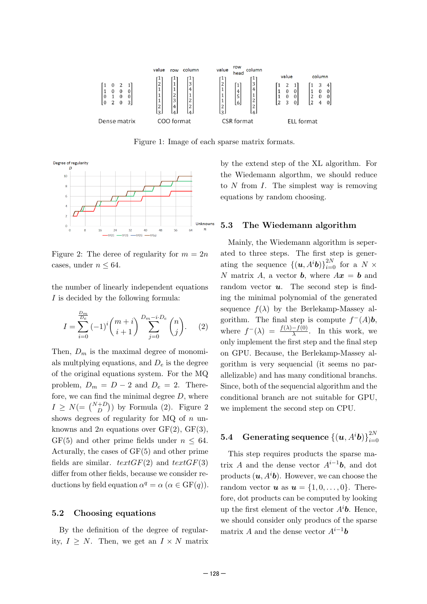

Figure 1: Image of each sparse matrix formats.



Figure 2: The deree of regularity for  $m = 2n$ cases, under  $n \leq 64$ .

the number of linearly independent equations *I* is decided by the following formula:

$$
I = \sum_{i=0}^{\frac{D_m}{D_e}} (-1)^i {m+i \choose i+1} \sum_{j=0}^{D_m-i \cdot D_e} {n \choose j}. \tag{2}
$$

Then,  $D_m$  is the maximal degree of monomials multplying equations, and *D<sup>e</sup>* is the degree of the original equations system. For the MQ problem,  $D_m = D - 2$  and  $D_e = 2$ . Therefore, we can find the minimal degree *D*, where  $I \geq N (= \binom{N+D}{D})$  by Formula (2). Figure 2 shows degrees of regularity for MQ of *n* unknowns and  $2n$  equations over  $GF(2)$ ,  $GF(3)$ ,  $GF(5)$  and other prime fields under  $n \leq 64$ . Acturally, the cases of GF(5) and other prime fields are similar.  $textGF(2)$  and  $textGF(3)$ differ from other fields, because we consider reductions by field equation  $\alpha^q = \alpha$  ( $\alpha \in \text{GF}(q)$ ).

#### **5.2 Choosing equations**

By the definition of the degree of regularity,  $I \geq N$ . Then, we get an  $I \times N$  matrix by the extend step of the XL algorithm. For the Wiedemann algorthm, we should reduce to *N* from *I*. The simplest way is removing equations by random choosing.

#### **5.3 The Wiedemann algorithm**

Mainly, the Wiedemann algorithm is seperated to three steps. The first step is generating the sequence  $\{(\boldsymbol{u}, A^i \boldsymbol{b})\}_{i=0}^{2N}$  for a  $N \times$ *N* matrix *A*, a vector *b*, where  $Ax = b$  and random vector *u*. The second step is finding the minimal polynomial of the generated sequence  $f(\lambda)$  by the Berlekamp-Massey algorithm. The final step is compute  $f^-(A)b$ , where  $f^{-}(\lambda) = \frac{f(\lambda) - f(0)}{\lambda}$  $\frac{-f(0)}{\lambda}$ . In this work, we only implement the first step and the final step on GPU. Because, the Berlekamp-Massey algorithm is very sequencial (it seems no parallelizable) and has many conditional branchs. Since, both of the sequencial algorithm and the conditional branch are not suitable for GPU, we implement the second step on CPU.

#### $\textbf{5.4} \quad \textbf{Generating sequence } \{(\boldsymbol{u},A^i\boldsymbol{b})\}_{i=0}^{2N}$ *i*=0

This step requires products the sparse matrix *A* and the dense vector  $A^{i-1}$ *b*, and dot products  $(u, A^i b)$ . However, we can choose the random vector  $u$  as  $u = \{1, 0, \ldots, 0\}$ . Therefore, dot products can be computed by looking up the first element of the vector  $A^i b$ . Hence, we should consider only producs of the sparse matrix *A* and the dense vector  $A^{i-1}$ *b*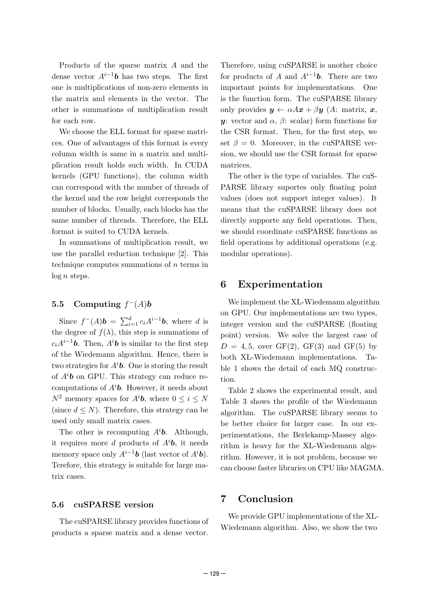Products of the sparse matrix *A* and the dense vector  $A^{i-1}b$  has two steps. The first one is multiplications of non-zero elements in the matrix and elements in the vector. The other is summations of multiplication result for each row.

We choose the ELL format for sparse matrices. One of advantages of this format is every column width is same in a matrix and multiplication result holds such width. In CUDA kernels (GPU functions), the column width can correspond with the number of threads of the kernel and the row height corresponds the number of blocks. Usually, each blocks has the same number of threads. Therefore, the ELL format is suited to CUDA kernels.

In summations of multiplication result, we use the parallel reduction technique [2]. This technique computes summations of *n* terms in log *n* steps.

### **5.5** Computing  $f^-(A)$ *b*

Since  $f^{-}(A)b = \sum_{i=1}^{d} c_i A^{i-1}b$ , where *d* is the degree of  $f(\lambda)$ , this step is summations of  $c_i A^{i-1}$ *b*. Then,  $A^i$ *b* is similar to the first step of the Wiedemann algorithm. Hence, there is two strategies for  $A^i\mathbf{b}$ . One is storing the result of *A i b* on GPU. This strategy can reduce recomputations of *Aib*. However, it needs about  $N^2$  memory spaces for  $A^i\mathbf{b}$ , where  $0 \leq i \leq N$ (since  $d \leq N$ ). Therefore, this strategy can be used only small matrix cases.

The other is recomputing  $A^i\mathbf{b}$ . Although, it requires more *d* products of  $A^i\mathbf{b}$ , it needs memory space only  $A^{i-1}b$  (last vector of  $A^{i}b$ ). Terefore, this strategy is suitable for large matrix cases.

#### **5.6 cuSPARSE version**

The cuSPARSE library provides functions of products a sparse matrix and a dense vector.

Therefore, using cuSPARSE is another choice for products of A and  $A^{i-1}b$ . There are two important points for implementations. One is the function form. The cuSPARSE library only provides  $y \leftarrow \alpha A x + \beta y$  (A: matrix, x, *y*: vector and *α* , *β*: scalar) form functions for the CSR format. Then, for the first step, we set  $\beta = 0$ . Moreover, in the cuSPARSE version, we should use the CSR format for sparse matrices.

The other is the type of variables. The cuS-PARSE library suportes only floating point values (does not support integer values). It means that the cuSPARSE library does not directly supporte any field operations. Then, we should coordinate cuSPARSE functions as field operations by additional operations (e.g. modular operations).

### **6 Experimentation**

We implement the XL-Wiedemann algorithm on GPU. Our implementations are two types, integer version and the cuSPARSE (floating point) version. We solve the largest case of  $D = 4, 5$ , over GF(2), GF(3) and GF(5) by both XL-Wiedemann implementations. Table 1 shows the detail of each MQ construction.

Table 2 shows the experimental result, and Table 3 shows the profile of the Wiedemann algorithm. The cuSPARSE library seems to be better choice for larger case. In our experimentations, the Berlekamp-Massey algorithm is heavy for the XL-Wiedemann algorithm. However, it is not problem, because we can choose faster libraries on CPU like MAGMA.

### **7 Conclusion**

We provide GPU implementations of the XL-Wiedemann algorithm. Also, we show the two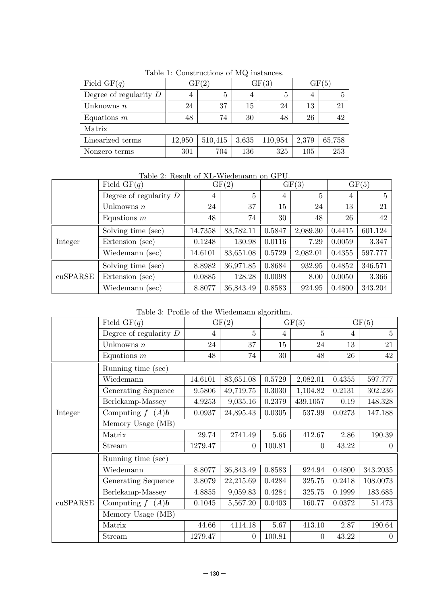| Field $GF(q)$            | GF(2)  |         |                | GF(3)   | GF(5) |        |  |  |
|--------------------------|--------|---------|----------------|---------|-------|--------|--|--|
| Degree of regularity $D$ | 4      | 5       | $\overline{4}$ | 5       | 4     | 5      |  |  |
| Unknowns $n$             | 24     | 37      | 15             | 24      | 13    | 21     |  |  |
| Equations $m$            | 48     | 74      | 30             | 48      | 26    | 42     |  |  |
| Matrix                   |        |         |                |         |       |        |  |  |
| Linearized terms         | 12,950 | 510,415 | 3,635          | 110,954 | 2,379 | 65,758 |  |  |
| Nonzero terms            | 301    | 704     | 136            | 325     | 105   | 253    |  |  |

Table 1: Constructions of MQ instances.

Table 2: Result of XL-Wiedemann on GPU.

|          | Field $GF(q)$            | GF(2)   |           | GF(3)  |          | GF(5)  |         |
|----------|--------------------------|---------|-----------|--------|----------|--------|---------|
|          | Degree of regularity $D$ | 4       | 5         | 4      | 5        | 4      | 5       |
|          | Unknowns $n$             | 24      | 37        | 15     | 24       | 13     | 21      |
|          | Equations $m$            | 48      | 74        | 30     | 48       | 26     | 42      |
| Integer  | Solving time (sec)       | 14.7358 | 83,782.11 | 0.5847 | 2,089.30 | 0.4415 | 601.124 |
|          | Extension (sec)          | 0.1248  | 130.98    | 0.0116 | 7.29     | 0.0059 | 3.347   |
|          | Wiedemann (sec)          | 14.6101 | 83,651.08 | 0.5729 | 2,082.01 | 0.4355 | 597.777 |
| cuSPARSE | Solving time (sec)       | 8.8982  | 36,971.85 | 0.8684 | 932.95   | 0.4852 | 346.571 |
|          | Extension (sec)          | 0.0885  | 128.28    | 0.0098 | 8.00     | 0.0050 | 3.366   |
|          | Wiedemann (sec)          | 8.8077  | 36,843.49 | 0.8583 | 924.95   | 0.4800 | 343.204 |

Table 3: Profile of the Wiedemann slgorithm.

|          | Field $GF(q)$               | GF(2)   |                | GF(3)          |                | GF(5)  |                |  |  |
|----------|-----------------------------|---------|----------------|----------------|----------------|--------|----------------|--|--|
|          | Degree of regularity $D$    | 4       | $\overline{5}$ | $\overline{4}$ | 5              | 4      | $\overline{5}$ |  |  |
|          | Unknowns $n$                | 24      | 37             | 15             | 24             | 13     | 21             |  |  |
|          | Equations $m$               | 48      | 74             | 30             | 48             | 26     | 42             |  |  |
|          | Running time (sec)          |         |                |                |                |        |                |  |  |
|          | Wiedemann                   | 14.6101 | 83,651.08      | 0.5729         | 2,082.01       | 0.4355 | 597.777        |  |  |
|          | Generating Sequence         | 9.5806  | 49,719.75      | 0.3030         | 1,104.82       | 0.2131 | 302.236        |  |  |
|          | Berlekamp-Massey            | 4.9253  | 9,035.16       | 0.2379         | 439.1057       | 0.19   | 148.328        |  |  |
| Integer  | Computing $f^-(A)$ <b>b</b> | 0.0937  | 24,895.43      | 0.0305         | 537.99         | 0.0273 | 147.188        |  |  |
|          | Memory Usage (MB)           |         |                |                |                |        |                |  |  |
|          | Matrix                      | 29.74   | 2741.49        | 5.66           | 412.67         | 2.86   | 190.39         |  |  |
|          | Stream                      | 1279.47 | 0              | 100.81         | 0              | 43.22  | $\overline{0}$ |  |  |
|          | Running time (sec)          |         |                |                |                |        |                |  |  |
| cuSPARSE | Wiedemann                   | 8.8077  | 36,843.49      | 0.8583         | 924.94         | 0.4800 | 343.2035       |  |  |
|          | Generating Sequence         | 3.8079  | 22,215.69      | 0.4284         | 325.75         | 0.2418 | 108.0073       |  |  |
|          | Berlekamp-Massey            | 4.8855  | 9,059.83       | 0.4284         | 325.75         | 0.1999 | 183.685        |  |  |
|          | Computing $f^-(A)$ <b>b</b> | 0.1045  | 5,567.20       | 0.0403         | 160.77         | 0.0372 | 51.473         |  |  |
|          | Memory Usage (MB)           |         |                |                |                |        |                |  |  |
|          | Matrix                      | 44.66   | 4114.18        | 5.67           | 413.10         | 2.87   | 190.64         |  |  |
|          | Stream                      | 1279.47 | $\overline{0}$ | 100.81         | $\overline{0}$ | 43.22  | $\overline{0}$ |  |  |